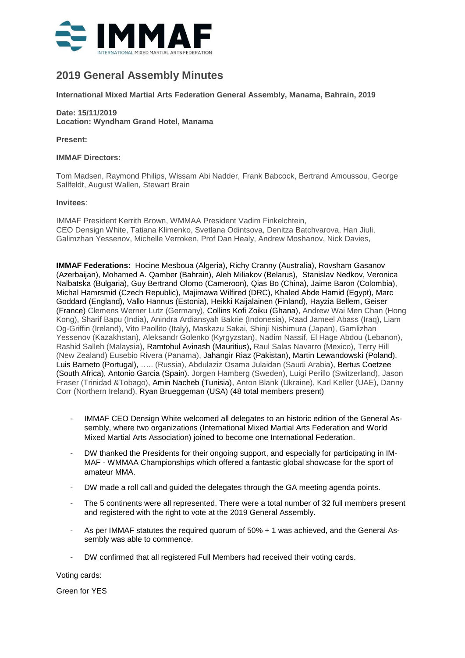

# **2019 General Assembly Minutes**

**International Mixed Martial Arts Federation General Assembly, Manama, Bahrain, 2019**

# **Date: 15/11/2019 Location: Wyndham Grand Hotel, Manama**

**Present:**

#### **IMMAF Directors:**

Tom Madsen, Raymond Philips, Wissam Abi Nadder, Frank Babcock, Bertrand Amoussou, George Sallfeldt, August Wallen, Stewart Brain

#### **Invitees**:

IMMAF President Kerrith Brown, WMMAA President Vadim Finkelchtein, CEO Densign White, Tatiana Klimenko, Svetlana Odintsova, Denitza Batchvarova, Han Jiuli, Galimzhan Yessenov, Michelle Verroken, Prof Dan Healy, Andrew Moshanov, Nick Davies,

**IMMAF Federations:** Hocine Mesboua (Algeria), Richy Cranny (Australia), Rovsham Gasanov (Azerbaijan), Mohamed A. Qamber (Bahrain), Aleh Miliakov (Belarus), Stanislav Nedkov, Veronica Nalbatska (Bulgaria), Guy Bertrand Olomo (Cameroon), Qias Bo (China), Jaime Baron (Colombia), Michal Hamrsmid (Czech Republic), Majimawa Wilfired (DRC), Khaled Abde Hamid (Egypt), Marc Goddard (England), Vallo Hannus (Estonia), Heikki Kaijalainen (Finland), Hayzia Bellem, Geiser (France) Clemens Werner Lutz (Germany), Collins Kofi Zoiku (Ghana), Andrew Wai Men Chan (Hong Kong), Sharif Bapu (India), Anindra Ardiansyah Bakrie (Indonesia), Raad Jameel Abass (Iraq), Liam Og-Griffin (Ireland), Vito Paollito (Italy), Maskazu Sakai, Shinji Nishimura (Japan), Gamlizhan Yessenov (Kazakhstan), Aleksandr Golenko (Kyrgyzstan), Nadim Nassif, El Hage Abdou (Lebanon), Rashid Salleh (Malaysia), Ramtohul Avinash (Mauritius), Raul Salas Navarro (Mexico), Terry Hill (New Zealand) Eusebio Rivera (Panama), Jahangir Riaz (Pakistan), Martin Lewandowski (Poland), Luis Barneto (Portugal), ….. (Russia), Abdulaziz Osama Julaidan (Saudi Arabia), Bertus Coetzee (South Africa), Antonio Garcia (Spain). Jorgen Hamberg (Sweden), Luigi Perillo (Switzerland), Jason Fraser (Trinidad &Tobago), Amin Nacheb (Tunisia), Anton Blank (Ukraine), Karl Keller (UAE), Danny Corr (Northern Ireland), Ryan Brueggeman (USA) (48 total members present)

- IMMAF CEO Densign White welcomed all delegates to an historic edition of the General Assembly, where two organizations (International Mixed Martial Arts Federation and World Mixed Martial Arts Association) joined to become one International Federation.
- DW thanked the Presidents for their ongoing support, and especially for participating in IM-MAF - WMMAA Championships which offered a fantastic global showcase for the sport of amateur MMA.
- DW made a roll call and guided the delegates through the GA meeting agenda points.
- The 5 continents were all represented. There were a total number of 32 full members present and registered with the right to vote at the 2019 General Assembly.
- As per IMMAF statutes the required quorum of 50% + 1 was achieved, and the General Assembly was able to commence.
- DW confirmed that all registered Full Members had received their voting cards.

Voting cards:

Green for YES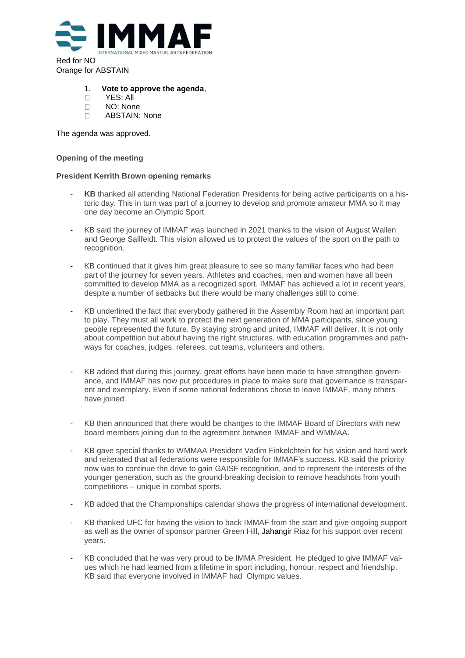

Red for NO Orange for ABSTAIN

### 1. **Vote to approve the agenda**,

- D YES: All
- NO: None
- D ABSTAIN: None

The agenda was approved.

#### **Opening of the meeting**

# **President Kerrith Brown opening remarks**

- KB thanked all attending National Federation Presidents for being active participants on a historic day. This in turn was part of a journey to develop and promote amateur MMA so it may one day become an Olympic Sport.
- KB said the journey of IMMAF was launched in 2021 thanks to the vision of August Wallen and George Sallfeldt. This vision allowed us to protect the values of the sport on the path to recognition.
- KB continued that it gives him great pleasure to see so many familiar faces who had been part of the journey for seven years. Athletes and coaches, men and women have all been committed to develop MMA as a recognized sport. IMMAF has achieved a lot in recent years, despite a number of setbacks but there would be many challenges still to come.
- KB underlined the fact that everybody gathered in the Assembly Room had an important part to play. They must all work to protect the next generation of MMA participants, since young people represented the future. By staying strong and united, IMMAF will deliver. It is not only about competition but about having the right structures, with education programmes and pathways for coaches, judges, referees, cut teams, volunteers and others.
- KB added that during this journey, great efforts have been made to have strengthen governance, and IMMAF has now put procedures in place to make sure that governance is transparent and exemplary. Even if some national federations chose to leave IMMAF, many others have joined.
- KB then announced that there would be changes to the IMMAF Board of Directors with new board members joining due to the agreement between IMMAF and WMMAA.
- KB gave special thanks to WMMAA President Vadim Finkelchtein for his vision and hard work and reiterated that all federations were responsible for IMMAF's success. KB said the priority now was to continue the drive to gain GAISF recognition, and to represent the interests of the younger generation, such as the ground-breaking decision to remove headshots from youth competitions – unique in combat sports.
- KB added that the Championships calendar shows the progress of international development.
- KB thanked UFC for having the vision to back IMMAF from the start and give ongoing support as well as the owner of sponsor partner Green Hill, Jahangir Riaz for his support over recent years.
- KB concluded that he was very proud to be IMMA President. He pledged to give IMMAF values which he had learned from a lifetime in sport including, honour, respect and friendship. KB said that everyone involved in IMMAF had Olympic values.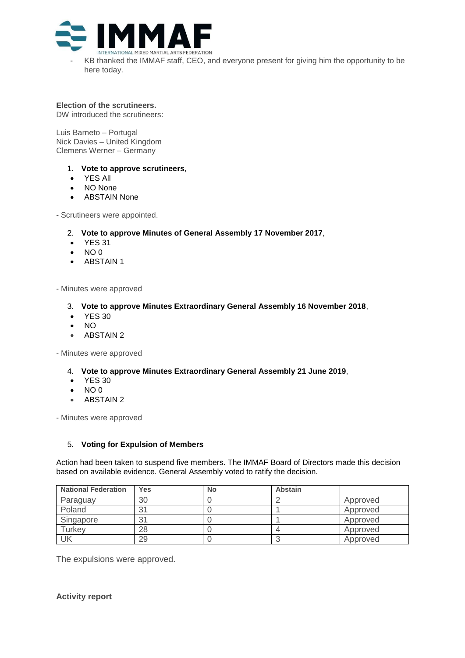

KB thanked the IMMAF staff, CEO, and everyone present for giving him the opportunity to be here today.

**Election of the scrutineers.** DW introduced the scrutineers:

Luis Barneto – Portugal Nick Davies – United Kingdom Clemens Werner – Germany

- 1. **Vote to approve scrutineers**,
- YES All
- NO None
- ABSTAIN None

- Scrutineers were appointed.

- 2. **Vote to approve Minutes of General Assembly 17 November 2017**,
- **YES 31**
- NO 0
- ABSTAIN 1

- Minutes were approved

- 3. **Vote to approve Minutes Extraordinary General Assembly 16 November 2018**,
- **YES 30**
- $\bullet$  NO
- ABSTAIN 2

- Minutes were approved

- 4. **Vote to approve Minutes Extraordinary General Assembly 21 June 2019**,
- **YES 30**
- $\bullet$  NO 0
- ABSTAIN 2

- Minutes were approved

# 5. **Voting for Expulsion of Members**

Action had been taken to suspend five members. The IMMAF Board of Directors made this decision based on available evidence. General Assembly voted to ratify the decision.

| <b>National Federation</b> | <b>Yes</b> | <b>No</b> | Abstain |          |
|----------------------------|------------|-----------|---------|----------|
| Paraguay                   | 30         |           |         | Approved |
| Poland                     | 31         |           |         | Approved |
| Singapore                  | 31         |           |         | Approved |
| Turkey                     | 28         |           |         | Approved |
| UK                         | 29         |           |         | Approved |

The expulsions were approved.

**Activity report**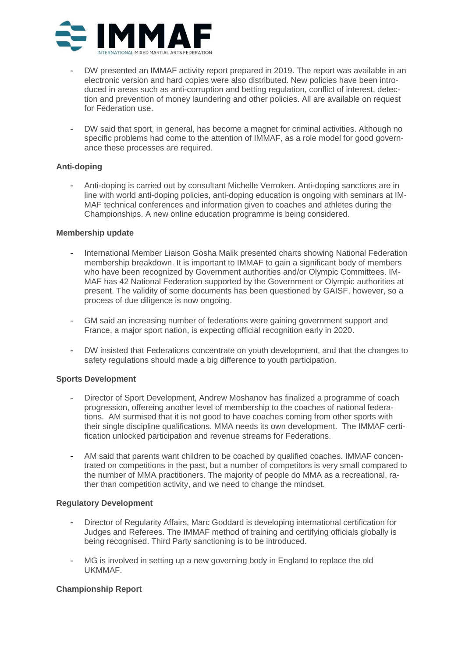

- DW presented an IMMAF activity report prepared in 2019. The report was available in an electronic version and hard copies were also distributed. New policies have been introduced in areas such as anti-corruption and betting regulation, conflict of interest, detection and prevention of money laundering and other policies. All are available on request for Federation use.
- DW said that sport, in general, has become a magnet for criminal activities. Although no specific problems had come to the attention of IMMAF, as a role model for good governance these processes are required.

# **Anti-doping**

- Anti-doping is carried out by consultant Michelle Verroken. Anti-doping sanctions are in line with world anti-doping policies, anti-doping education is ongoing with seminars at IM-MAF technical conferences and information given to coaches and athletes during the Championships. A new online education programme is being considered.

# **Membership update**

- International Member Liaison Gosha Malik presented charts showing National Federation membership breakdown. It is important to IMMAF to gain a significant body of members who have been recognized by Government authorities and/or Olympic Committees. IM-MAF has 42 National Federation supported by the Government or Olympic authorities at present. The validity of some documents has been questioned by GAISF, however, so a process of due diligence is now ongoing.
- GM said an increasing number of federations were gaining government support and France, a major sport nation, is expecting official recognition early in 2020.
- DW insisted that Federations concentrate on youth development, and that the changes to safety regulations should made a big difference to youth participation.

# **Sports Development**

- Director of Sport Development, Andrew Moshanov has finalized a programme of coach progression, offereing another level of membership to the coaches of national federations. AM surmised that it is not good to have coaches coming from other sports with their single discipline qualifications. MMA needs its own development. The IMMAF certification unlocked participation and revenue streams for Federations.
- AM said that parents want children to be coached by qualified coaches. IMMAF concentrated on competitions in the past, but a number of competitors is very small compared to the number of MMA practitioners. The majority of people do MMA as a recreational, rather than competition activity, and we need to change the mindset.

# **Regulatory Development**

- Director of Regularity Affairs, Marc Goddard is developing international certification for Judges and Referees. The IMMAF method of training and certifying officials globally is being recognised. Third Party sanctioning is to be introduced.
- MG is involved in setting up a new governing body in England to replace the old UKMMAF.

# **Championship Report**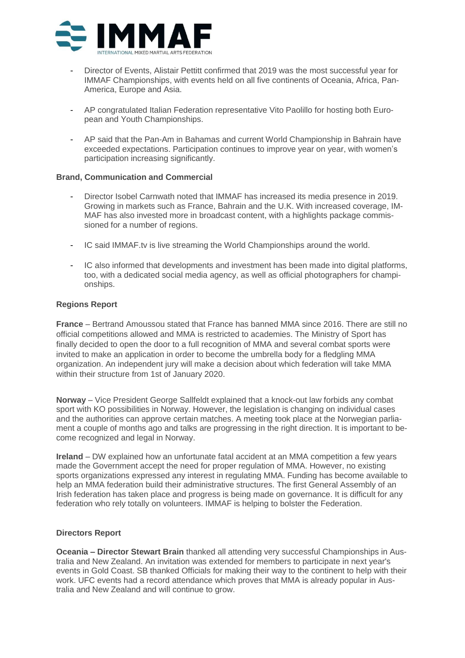

- Director of Events, Alistair Pettitt confirmed that 2019 was the most successful year for IMMAF Championships, with events held on all five continents of Oceania, Africa, Pan-America, Europe and Asia.
- AP congratulated Italian Federation representative Vito Paolillo for hosting both European and Youth Championships.
- AP said that the Pan-Am in Bahamas and current World Championship in Bahrain have exceeded expectations. Participation continues to improve year on year, with women's participation increasing significantly.

# **Brand, Communication and Commercial**

- Director Isobel Carnwath noted that IMMAF has increased its media presence in 2019. Growing in markets such as France, Bahrain and the U.K. With increased coverage, IM-MAF has also invested more in broadcast content, with a highlights package commissioned for a number of regions.
- IC said IMMAF.tv is live streaming the World Championships around the world.
- IC also informed that developments and investment has been made into digital platforms, too, with a dedicated social media agency, as well as official photographers for championships.

# **Regions Report**

**France** – Bertrand Amoussou stated that France has banned MMA since 2016. There are still no official competitions allowed and MMA is restricted to academies. The Ministry of Sport has finally decided to open the door to a full recognition of MMA and several combat sports were invited to make an application in order to become the umbrella body for a fledgling MMA organization. An independent jury will make a decision about which federation will take MMA within their structure from 1st of January 2020.

**Norway** – Vice President George Sallfeldt explained that a knock-out law forbids any combat sport with KO possibilities in Norway. However, the legislation is changing on individual cases and the authorities can approve certain matches. A meeting took place at the Norwegian parliament a couple of months ago and talks are progressing in the right direction. It is important to become recognized and legal in Norway.

**Ireland** – DW explained how an unfortunate fatal accident at an MMA competition a few years made the Government accept the need for proper regulation of MMA. However, no existing sports organizations expressed any interest in regulating MMA. Funding has become available to help an MMA federation build their administrative structures. The first General Assembly of an Irish federation has taken place and progress is being made on governance. It is difficult for any federation who rely totally on volunteers. IMMAF is helping to bolster the Federation.

# **Directors Report**

**Oceania – Director Stewart Brain** thanked all attending very successful Championships in Australia and New Zealand. An invitation was extended for members to participate in next year's events in Gold Coast. SB thanked Officials for making their way to the continent to help with their work. UFC events had a record attendance which proves that MMA is already popular in Australia and New Zealand and will continue to grow.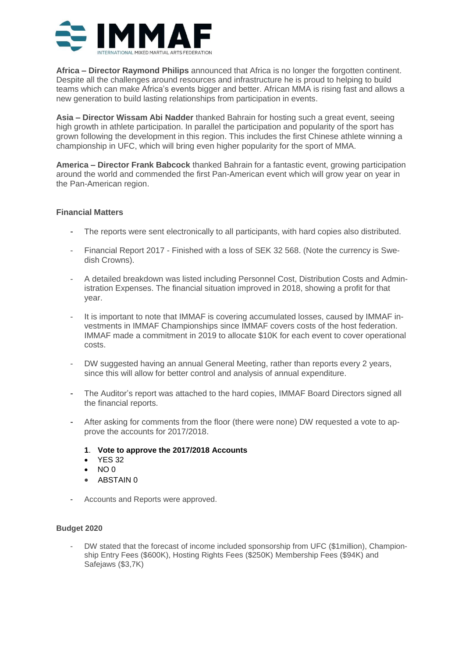

**Africa – Director Raymond Philips** announced that Africa is no longer the forgotten continent. Despite all the challenges around resources and infrastructure he is proud to helping to build teams which can make Africa's events bigger and better. African MMA is rising fast and allows a new generation to build lasting relationships from participation in events.

**Asia – Director Wissam Abi Nadder** thanked Bahrain for hosting such a great event, seeing high growth in athlete participation. In parallel the participation and popularity of the sport has grown following the development in this region. This includes the first Chinese athlete winning a championship in UFC, which will bring even higher popularity for the sport of MMA.

**America – Director Frank Babcock** thanked Bahrain for a fantastic event, growing participation around the world and commended the first Pan-American event which will grow year on year in the Pan-American region.

# **Financial Matters**

- The reports were sent electronically to all participants, with hard copies also distributed.
- Financial Report 2017 Finished with a loss of SEK 32 568. (Note the currency is Swedish Crowns).
- A detailed breakdown was listed including Personnel Cost, Distribution Costs and Administration Expenses. The financial situation improved in 2018, showing a profit for that year.
- It is important to note that IMMAF is covering accumulated losses, caused by IMMAF investments in IMMAF Championships since IMMAF covers costs of the host federation. IMMAF made a commitment in 2019 to allocate \$10K for each event to cover operational costs.
- DW suggested having an annual General Meeting, rather than reports every 2 years, since this will allow for better control and analysis of annual expenditure.
- The Auditor's report was attached to the hard copies, IMMAF Board Directors signed all the financial reports.
- After asking for comments from the floor (there were none) DW requested a vote to approve the accounts for 2017/2018.
	- **1**. **Vote to approve the 2017/2018 Accounts**
	- **YES 32**
	- $NO<sub>0</sub>$
	- ABSTAIN 0
- Accounts and Reports were approved.

# **Budget 2020**

- DW stated that the forecast of income included sponsorship from UFC (\$1million), Championship Entry Fees (\$600K), Hosting Rights Fees (\$250K) Membership Fees (\$94K) and Safejaws (\$3,7K)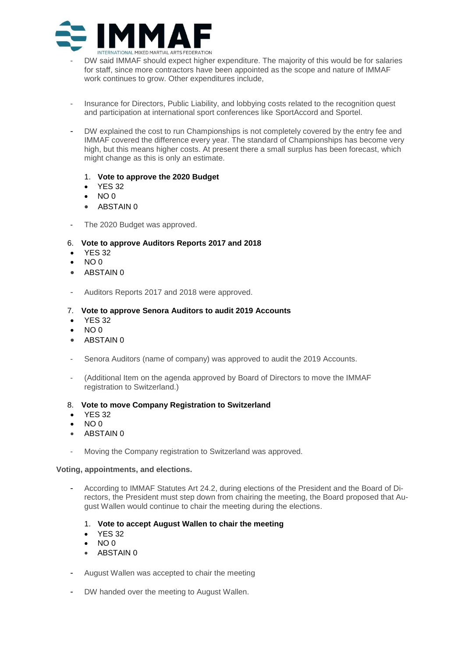

- DW said IMMAF should expect higher expenditure. The majority of this would be for salaries for staff, since more contractors have been appointed as the scope and nature of IMMAF work continues to grow. Other expenditures include,
- Insurance for Directors, Public Liability, and lobbying costs related to the recognition quest and participation at international sport conferences like SportAccord and Sportel.
- DW explained the cost to run Championships is not completely covered by the entry fee and IMMAF covered the difference every year. The standard of Championships has become very high, but this means higher costs. At present there a small surplus has been forecast, which might change as this is only an estimate.
	- 1. **Vote to approve the 2020 Budget**
	- YES 32
	- NO 0
	- ABSTAIN 0
- The 2020 Budget was approved.

### 6. **Vote to approve Auditors Reports 2017 and 2018**

- **YES 32**
- $N$ O 0
- ABSTAIN 0
- Auditors Reports 2017 and 2018 were approved.

### 7. **Vote to approve Senora Auditors to audit 2019 Accounts**

- **YES 32**
- $NO<sub>0</sub>$
- ABSTAIN 0
- Senora Auditors (name of company) was approved to audit the 2019 Accounts.
- (Additional Item on the agenda approved by Board of Directors to move the IMMAF registration to Switzerland.)

#### 8. **Vote to move Company Registration to Switzerland**

- YES 32
- NO 0
- ABSTAIN 0
- Moving the Company registration to Switzerland was approved.

#### **Voting, appointments, and elections.**

- According to IMMAF Statutes Art 24.2, during elections of the President and the Board of Directors, the President must step down from chairing the meeting, the Board proposed that August Wallen would continue to chair the meeting during the elections.
	- 1. **Vote to accept August Wallen to chair the meeting**
	- YES 32
	- $\bullet$  NO 0
	- ABSTAIN 0
- August Wallen was accepted to chair the meeting
- DW handed over the meeting to August Wallen.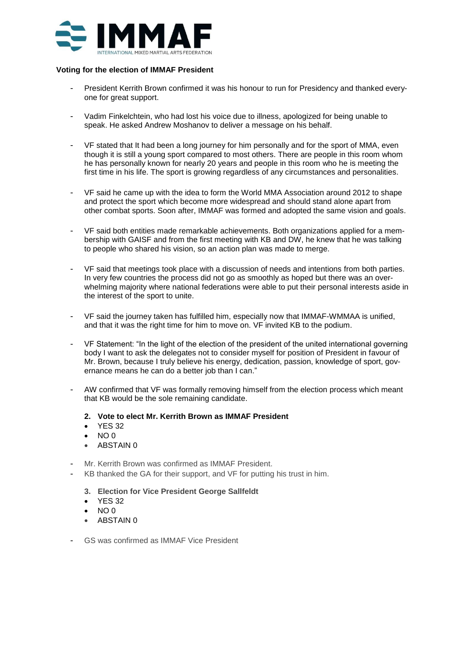

### **Voting for the election of IMMAF President**

- President Kerrith Brown confirmed it was his honour to run for Presidency and thanked everyone for great support.
- Vadim Finkelchtein, who had lost his voice due to illness, apologized for being unable to speak. He asked Andrew Moshanov to deliver a message on his behalf.
- VF stated that It had been a long journey for him personally and for the sport of MMA, even though it is still a young sport compared to most others. There are people in this room whom he has personally known for nearly 20 years and people in this room who he is meeting the first time in his life. The sport is growing regardless of any circumstances and personalities.
- VF said he came up with the idea to form the World MMA Association around 2012 to shape and protect the sport which become more widespread and should stand alone apart from other combat sports. Soon after, IMMAF was formed and adopted the same vision and goals.
- VF said both entities made remarkable achievements. Both organizations applied for a membership with GAISF and from the first meeting with KB and DW, he knew that he was talking to people who shared his vision, so an action plan was made to merge.
- VF said that meetings took place with a discussion of needs and intentions from both parties. In very few countries the process did not go as smoothly as hoped but there was an overwhelming majority where national federations were able to put their personal interests aside in the interest of the sport to unite.
- VF said the journey taken has fulfilled him, especially now that IMMAF-WMMAA is unified, and that it was the right time for him to move on. VF invited KB to the podium.
- VF Statement: "In the light of the election of the president of the united international governing body I want to ask the delegates not to consider myself for position of President in favour of Mr. Brown, because I truly believe his energy, dedication, passion, knowledge of sport, governance means he can do a better job than I can."
- AW confirmed that VF was formally removing himself from the election process which meant that KB would be the sole remaining candidate.
	- **2. Vote to elect Mr. Kerrith Brown as IMMAF President**
	- YES 32
	- NO 0
	- ABSTAIN 0
- Mr. Kerrith Brown was confirmed as IMMAF President.
- KB thanked the GA for their support, and VF for putting his trust in him.
	- **3. Election for Vice President George Sallfeldt**
	- YES 32
	- NO 0
	- ABSTAIN 0
- GS was confirmed as IMMAF Vice President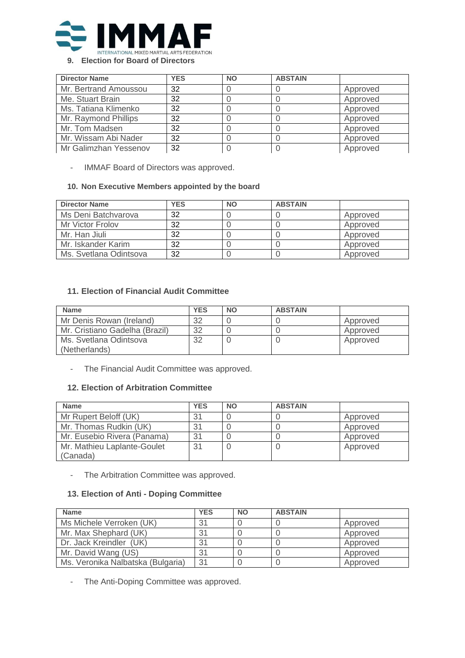

## **9. Election for Board of Directors**

| <b>Director Name</b>  | <b>YES</b> | <b>NO</b> | <b>ABSTAIN</b> |          |
|-----------------------|------------|-----------|----------------|----------|
| Mr. Bertrand Amoussou | 32         |           |                | Approved |
| Me. Stuart Brain      | 32         |           |                | Approved |
| Ms. Tatiana Klimenko  | 32         |           |                | Approved |
| Mr. Raymond Phillips  | 32         |           |                | Approved |
| Mr. Tom Madsen        | 32         |           |                | Approved |
| Mr. Wissam Abi Nader  | 32         |           |                | Approved |
| Mr Galimzhan Yessenov | 32         |           |                | Approved |

- IMMAF Board of Directors was approved.

# **10. Non Executive Members appointed by the board**

| <b>Director Name</b>   | <b>YES</b> | <b>NO</b> | <b>ABSTAIN</b> |          |
|------------------------|------------|-----------|----------------|----------|
| Ms Deni Batchvarova    | 32         |           |                | Approved |
| Mr Victor Frolov       | 32         |           |                | Approved |
| Mr. Han Jiuli          | 32         |           |                | Approved |
| Mr. Iskander Karim     | 32         |           |                | Approved |
| Ms. Svetlana Odintsova | 32         |           |                | Approved |

# **11. Election of Financial Audit Committee**

| <b>Name</b>                             | <b>YES</b> | <b>NO</b> | <b>ABSTAIN</b> |          |
|-----------------------------------------|------------|-----------|----------------|----------|
| Mr Denis Rowan (Ireland)                | 32         |           |                | Approved |
| Mr. Cristiano Gadelha (Brazil)          | 32         |           |                | Approved |
| Ms. Svetlana Odintsova<br>(Netherlands) | 32         |           |                | Approved |

- The Financial Audit Committee was approved.

# **12. Election of Arbitration Committee**

| <b>Name</b>                 | <b>YES</b> | <b>NO</b> | <b>ABSTAIN</b> |          |
|-----------------------------|------------|-----------|----------------|----------|
| Mr Rupert Beloff (UK)       | 31         |           |                | Approved |
| Mr. Thomas Rudkin (UK)      | 31         |           |                | Approved |
| Mr. Eusebio Rivera (Panama) | 31         |           |                | Approved |
| Mr. Mathieu Laplante-Goulet | 31         |           |                | Approved |
| (Canada)                    |            |           |                |          |

- The Arbitration Committee was approved.

# **13. Election of Anti - Doping Committee**

| <b>Name</b>                       | <b>YES</b> | <b>NO</b> | <b>ABSTAIN</b> |          |
|-----------------------------------|------------|-----------|----------------|----------|
| Ms Michele Verroken (UK)          | 31         |           |                | Approved |
| Mr. Max Shephard (UK)             | 31         |           |                | Approved |
| Dr. Jack Kreindler (UK)           | 31         |           |                | Approved |
| Mr. David Wang (US)               | 31         |           |                | Approved |
| Ms. Veronika Nalbatska (Bulgaria) | 31         |           |                | Approved |

- The Anti-Doping Committee was approved.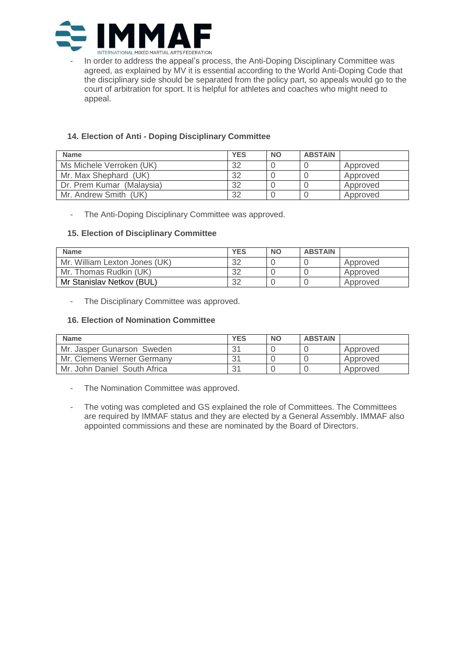

In order to address the appeal's process, the Anti-Doping Disciplinary Committee was agreed, as explained by MV it is essential according to the World Anti-Doping Code that the disciplinary side should be separated from the policy part, so appeals would go to the court of arbitration for sport. It is helpful for athletes and coaches who might need to appeal.

# **14. Election of Anti - Doping Disciplinary Committee**

| <b>Name</b>               | <b>YES</b> | <b>NO</b> | <b>ABSTAIN</b> |          |
|---------------------------|------------|-----------|----------------|----------|
| Ms Michele Verroken (UK)  | 32         |           |                | Approved |
| Mr. Max Shephard (UK)     | 32         |           |                | Approved |
| Dr. Prem Kumar (Malaysia) | 32         |           |                | Approved |
| Mr. Andrew Smith (UK)     | 32         |           |                | Approved |

- The Anti-Doping Disciplinary Committee was approved.

# **15. Election of Disciplinary Committee**

| <b>Name</b>                   | <b>YES</b> | <b>NO</b> | <b>ABSTAIN</b> |          |
|-------------------------------|------------|-----------|----------------|----------|
| Mr. William Lexton Jones (UK) | 32         |           |                | Approved |
| Mr. Thomas Rudkin (UK)        | 32         |           |                | Approved |
| Mr Stanislav Netkov (BUL)     | 32         |           |                | Approved |

- The Disciplinary Committee was approved.

# **16. Election of Nomination Committee**

| <b>Name</b>                  | <b>YES</b> | <b>NO</b> | <b>ABSTAIN</b> |          |
|------------------------------|------------|-----------|----------------|----------|
| Mr. Jasper Gunarson Sweden   | 31         |           |                | Approved |
| Mr. Clemens Werner Germany   | 31         |           |                | Approved |
| Mr. John Daniel South Africa | 31         |           |                | Approved |

- The Nomination Committee was approved.
- The voting was completed and GS explained the role of Committees. The Committees are required by IMMAF status and they are elected by a General Assembly. IMMAF also appointed commissions and these are nominated by the Board of Directors.